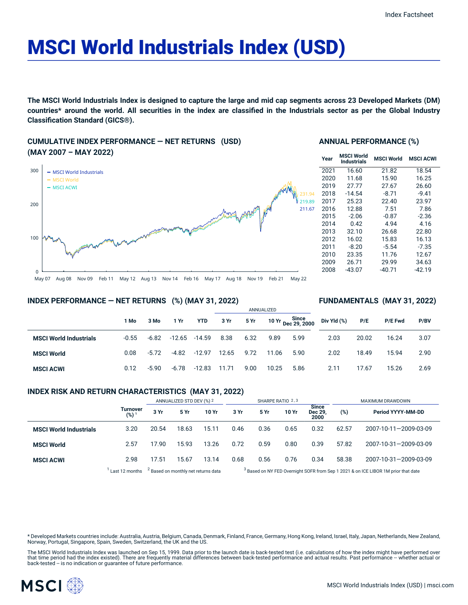# MSCI World Industrials Index (USD)

The MSCI World Industrials Index is designed to capture the large and mid cap segments across 23 Developed Markets (DM) countries\* around the world. All securities in the index are classified in the Industrials sector as per the Global Industry **Classification Standard (GICS®).**

## **CUMULATIVE INDEX PERFORMANCE — NET RETURNS (USD) (MAY 2007 – MAY 2022)**



#### **ANNUAL PERFORMANCE (%)**

| Year | <b>MSCI World</b><br>Industrials | <b>MSCI World</b> | <b>MSCI ACWI</b> |
|------|----------------------------------|-------------------|------------------|
| 2021 | 16.60                            | 21.82             | 18.54            |
| 2020 | 11.68                            | 15.90             | 16.25            |
| 2019 | 27.77                            | 27.67             | 26.60            |
| 2018 | $-14.54$                         | $-8.71$           | $-9.41$          |
| 2017 | 25.23                            | 22.40             | 23.97            |
| 2016 | 12.88                            | 7.51              | 7.86             |
| 2015 | $-2.06$                          | $-0.87$           | $-2.36$          |
| 2014 | 0.42                             | 4.94              | 4.16             |
| 2013 | 32.10                            | 26.68             | 22.80            |
| 2012 | 16.02                            | 15.83             | 16.13            |
| 2011 | $-8.20$                          | $-5.54$           | $-7.35$          |
| 2010 | 23.35                            | 11.76             | 12.67            |
| 2009 | 26.71                            | 29.99             | 34.63            |
| 2008 | -43.07                           | $-40.71$          | -42.19           |

**FUNDAMENTALS (MAY 31, 2022)**

## **INDEX PERFORMANCE — NET RETURNS (%) (MAY 31, 2022)**

#### ANNUALIZED **1 Mo 3 Mo 1 Yr YTD 3 Yr 5 Yr 10 Yr Since Dec 29, 2000 MSCI World Industrials** -0.55 -6.82 -12.65 -14.59 8.38 6.32 9.89 5.99 **MSCI World** 0.08 -5.72 -4.82 -12.97 12.65 9.72 11.06 5.90 **MSCI ACWI** 0.12 -5.90 -6.78 -12.83 11.71 9.00 10.25 5.86 **Div Yld (%) P/E P/E Fwd P/BV** 2.03 20.02 16.24 3.07 2.02 18.49 15.94 2.90 2.11 17.67 15.26 2.69

## **INDEX RISK AND RETURN CHARACTERISTICS (MAY 31, 2022)**

|                               | Turnover<br>$(%)^1$ | ANNUALIZED STD DEV (%) 2                       |       | SHARPE RATIO 2,3 |                                                                                               |      |       | MAXIMUM DRAWDOWN                |       |                       |
|-------------------------------|---------------------|------------------------------------------------|-------|------------------|-----------------------------------------------------------------------------------------------|------|-------|---------------------------------|-------|-----------------------|
|                               |                     | 3 Yr                                           | 5 Yr  | 10 Yr            | 3 Yr                                                                                          | 5 Yr | 10 Yr | <b>Since</b><br>Dec 29.<br>2000 | (%)   | Period YYYY-MM-DD     |
| <b>MSCI World Industrials</b> | 3.20                | 20.54                                          | 18.63 | 15.11            | 0.46                                                                                          | 0.36 | 0.65  | 0.32                            | 62.57 | 2007-10-11-2009-03-09 |
| <b>MSCI World</b>             | 2.57                | 17.90                                          | 15.93 | 13.26            | 0.72                                                                                          | 0.59 | 0.80  | 0.39                            | 57.82 | 2007-10-31-2009-03-09 |
| <b>MSCI ACWI</b>              | 2.98                | 17.51                                          | 15.67 | 13.14            | 0.68                                                                                          | 0.56 | 0.76  | 0.34                            | 58.38 | 2007-10-31-2009-03-09 |
|                               | Last 12 months      | <sup>2</sup> Based on monthly net returns data |       |                  | <sup>3</sup> Based on NY FED Overnight SOFR from Sep 1 2021 & on ICE LIBOR 1M prior that date |      |       |                                 |       |                       |

\* Developed Markets countries include: Australia, Austria, Belgium, Canada, Denmark, Finland, France, Germany, Hong Kong, Ireland, Israel, Italy, Japan, Netherlands, New Zealand, Norway, Portugal, Singapore, Spain, Sweden, Switzerland, the UK and the US.

The MSCI World Industrials Index was launched on Sep 15, 1999. Data prior to the launch date is back-tested test (i.e. calculations of how the index might have performed over<br>that time period had the index existed). There

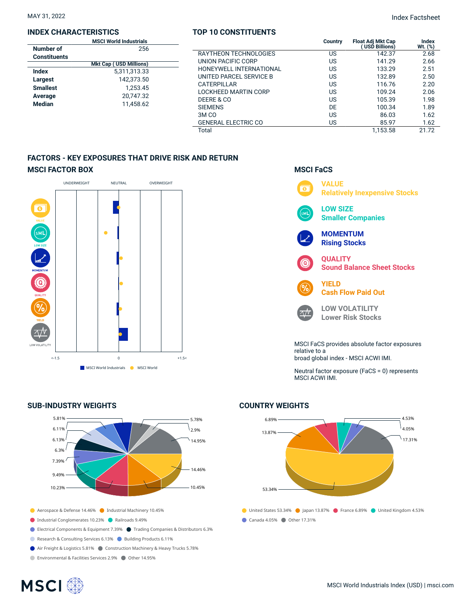#### **INDEX CHARACTERISTICS**

|                     | <b>MSCI World Industrials</b> |  |
|---------------------|-------------------------------|--|
| Number of           | 256                           |  |
| <b>Constituents</b> |                               |  |
|                     | <b>Mkt Cap (USD Millions)</b> |  |
| Index               | 5,311,313.33                  |  |
| Largest             | 142.373.50                    |  |
| <b>Smallest</b>     | 1.253.45                      |  |
| Average             | 20,747.32                     |  |
| <b>Median</b>       | 11,458.62                     |  |
|                     |                               |  |

## **TOP 10 CONSTITUENTS**

MAY 31, 2022 Index Factsheet

|                               | <b>MSCI World Industrials</b> |                            | Country | <b>Float Adi Mkt Cap</b> | Index        |
|-------------------------------|-------------------------------|----------------------------|---------|--------------------------|--------------|
| Number of                     | 256                           |                            |         | (USD Billions)           | $Wt.$ $(\%)$ |
| <b>Constituents</b>           |                               | RAYTHEON TECHNOLOGIES      | US      | 142.37                   | 2.68         |
| <b>Mkt Cap (USD Millions)</b> |                               | UNION PACIFIC CORP         | US      | 141.29                   | 2.66         |
| <b>Index</b>                  | 5,311,313.33                  | HONEYWELL INTERNATIONAL    | US      | 133.29                   | 2.51         |
| Largest                       | 142,373.50                    | UNITED PARCEL SERVICE B    | US      | 132.89                   | 2.50         |
| <b>Smallest</b>               | 1.253.45                      | CATERPILLAR                | US      | 116.76                   | 2.20         |
|                               |                               | LOCKHEED MARTIN CORP       | US      | 109.24                   | 2.06         |
| Average                       | 20,747.32                     | DEERE & CO                 | US      | 105.39                   | 1.98         |
| Median                        | 11,458.62                     | <b>SIEMENS</b>             | DE      | 100.34                   | 1.89         |
|                               |                               | 3M <sub>CO</sub>           | US      | 86.03                    | 1.62         |
|                               |                               | <b>GENERAL ELECTRIC CO</b> | US      | 85.97                    | 1.62         |
|                               |                               | Total                      |         | 1.153.58                 | 21.72        |

## **FACTORS - KEY EXPOSURES THAT DRIVE RISK AND RETURN MSCI FACTOR BOX**



## **SUB-INDUSTRY WEIGHTS**



- Aerospace & Defense 14.46% Industrial Machinery 10.45%
- Industrial Conglomerates 10.23% Railroads 9.49%
- Electrical Components & Equipment 7.39% Trading Companies & Distributors 6.3%
- Research & Consulting Services 6.13% Building Products 6.11%
- Air Freight & Logistics 5.81% Construction Machinery & Heavy Trucks 5.78%
- Environmental & Facilities Services 2.9% Other 14.95%

**MSCI**<sup>®</sup>

## **VALUE**  $\overline{\bullet}$ **Relatively Inexpensive Stocks LOW SIZE** м١ **Smaller Companies MOMENTUM Rising Stocks QUALITY** ධ **Sound Balance Sheet Stocks YIELD Cash Flow Paid Out LOW VOLATILITY**  $\sqrt{V}$ **Lower Risk Stocks** MSCI FaCS provides absolute factor exposures

**MSCI FaCS**

relative to a broad global index - MSCI ACWI IMI.

Neutral factor exposure (FaCS = 0) represents MSCI ACWI IMI.

## **COUNTRY WEIGHTS**